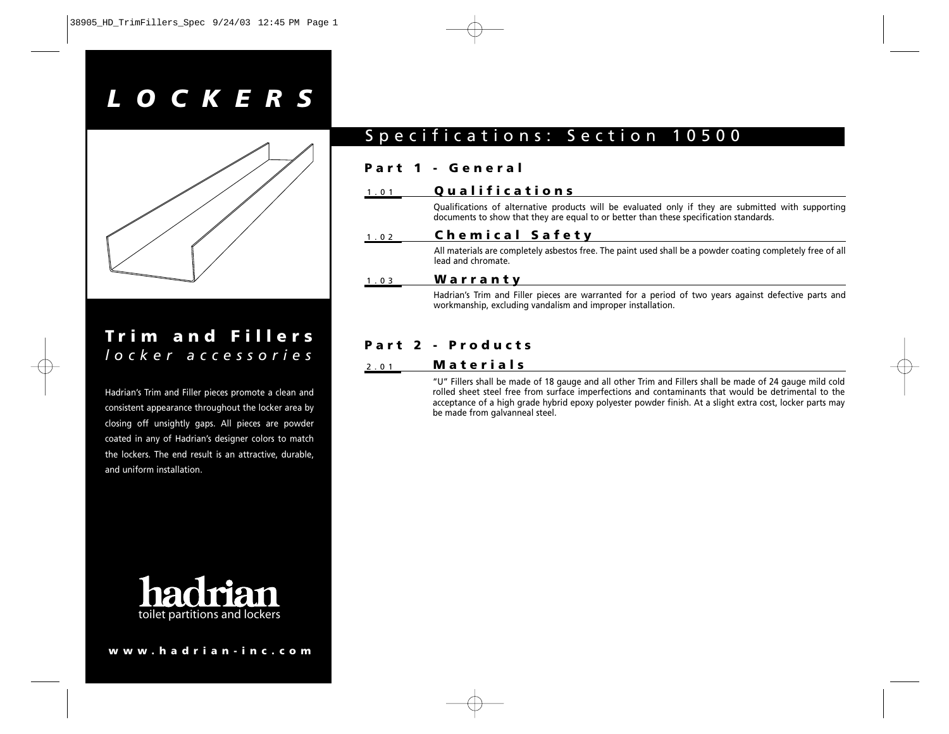# *LOCKERS*



# **Trim and Fillers** *locker accessories*

Hadrian's Trim and Filler pieces promote a clean and consistent appearance throughout the locker area by closing off unsightly gaps. All pieces are powder coated in any of Hadrian's designer colors to match the lockers. The end result is an attractive, durable, and uniform installation.



#### **www.hadrian-inc.com**

# Specifications: Section 10500

#### **Part 1 - General**

#### 1.01 **Qualifications**

Qualifications of alternative products will be evaluated only if they are submitted with supporting documents to show that they are equal to or better than these specification standards.

#### 1.02 **Chemical Safety**

All materials are completely asbestos free. The paint used shall be a powder coating completely free of all lead and chromate.

#### 1.03 **Warranty**

Hadrian's Trim and Filler pieces are warranted for a period of two years against defective parts and workmanship, excluding vandalism and improper installation.

### **Part 2 - Products**

#### 2.01 **Materials**

"U" Fillers shall be made of 18 gauge and all other Trim and Fillers shall be made of 24 gauge mild cold rolled sheet steel free from surface imperfections and contaminants that would be detrimental to the acceptance of a high grade hybrid epoxy polyester powder finish. At a slight extra cost, locker parts may be made from galvanneal steel.